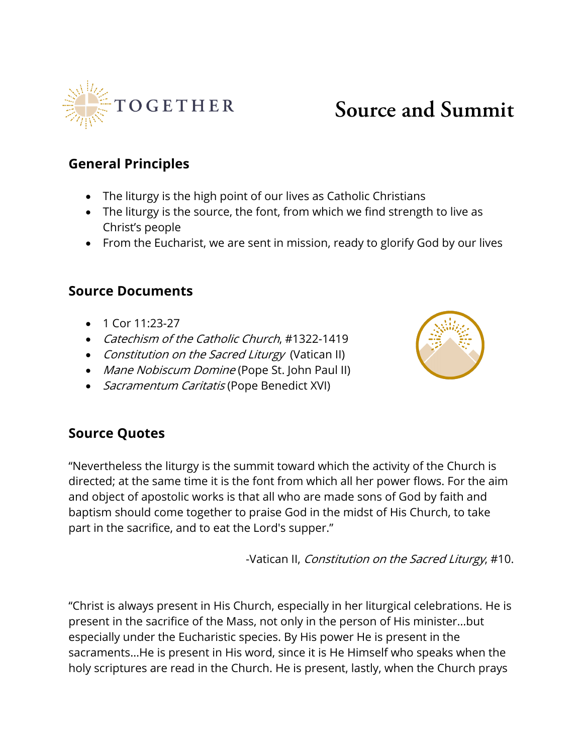

## **Source and Summit**

## **General Principles**

- The liturgy is the high point of our lives as Catholic Christians
- The liturgy is the source, the font, from which we find strength to live as Christ's people
- From the Eucharist, we are sent in mission, ready to glorify God by our lives

## **Source Documents**

- 1 Cor 11:23-27
- Catechism of the Catholic Church, #1322-1419
- Constitution on the Sacred Liturgy (Vatican II)
- Mane Nobiscum Domine (Pope St. John Paul II)
- *Sacramentum Caritatis* (Pope Benedict XVI)



## **Source Quotes**

"Nevertheless the liturgy is the summit toward which the activity of the Church is directed; at the same time it is the font from which all her power flows. For the aim and object of apostolic works is that all who are made sons of God by faith and baptism should come together to praise God in the midst of His Church, to take part in the sacrifice, and to eat the Lord's supper."

-Vatican II, Constitution on the Sacred Liturgy, #10.

"Christ is always present in His Church, especially in her liturgical celebrations. He is present in the sacrifice of the Mass, not only in the person of His minister…but especially under the Eucharistic species. By His power He is present in the sacraments…He is present in His word, since it is He Himself who speaks when the holy scriptures are read in the Church. He is present, lastly, when the Church prays